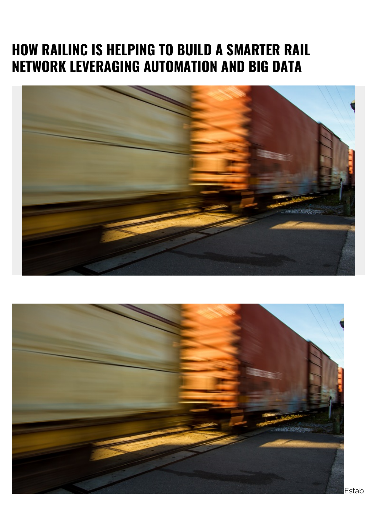## **HOW RAILINC IS HELPING TO BUILD A SMARTER RAIL NETWORK LEVERAGING AUTOMATION AND BIG DATA**



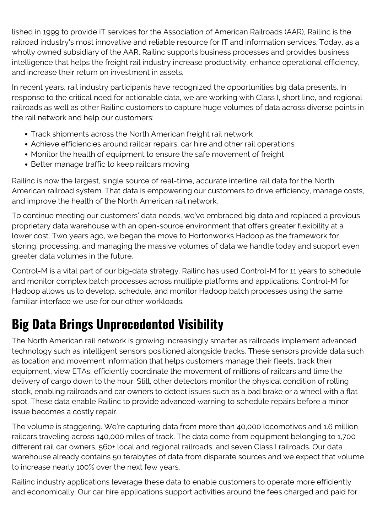lished in 1999 to provide IT services for the Association of American Railroads (AAR), Railinc is the railroad industry's most innovative and reliable resource for IT and information services. Today, as a wholly owned subsidiary of the AAR, Railinc supports business processes and provides business intelligence that helps the freight rail industry increase productivity, enhance operational efficiency, and increase their return on investment in assets.

In recent years, rail industry participants have recognized the opportunities big data presents. In response to the critical need for actionable data, we are working with Class I, short line, and regional railroads as well as other Railinc customers to capture huge volumes of data across diverse points in the rail network and help our customers:

- Track shipments across the North American freight rail network
- Achieve efficiencies around railcar repairs, car hire and other rail operations
- Monitor the health of equipment to ensure the safe movement of freight
- Better manage traffic to keep railcars moving

Railinc is now the largest, single source of real-time, accurate interline rail data for the North American railroad system. That data is empowering our customers to drive efficiency, manage costs, and improve the health of the North American rail network.

To continue meeting our customers' data needs, we've embraced big data and replaced a previous proprietary data warehouse with an open-source environment that offers greater flexibility at a lower cost. Two years ago, we began the move to Hortonworks Hadoop as the framework for storing, processing, and managing the massive volumes of data we handle today and support even greater data volumes in the future.

Control-M is a vital part of our big-data strategy. Railinc has used Control-M for 11 years to schedule and monitor complex batch processes across multiple platforms and applications. Control-M for Hadoop allows us to develop, schedule, and monitor Hadoop batch processes using the same familiar interface we use for our other workloads.

## **Big Data Brings Unprecedented Visibility**

The North American rail network is growing increasingly smarter as railroads implement advanced technology such as intelligent sensors positioned alongside tracks. These sensors provide data such as location and movement information that helps customers manage their fleets, track their equipment, view ETAs, efficiently coordinate the movement of millions of railcars and time the delivery of cargo down to the hour. Still, other detectors monitor the physical condition of rolling stock, enabling railroads and car owners to detect issues such as a bad brake or a wheel with a flat spot. These data enable Railinc to provide advanced warning to schedule repairs before a minor issue becomes a costly repair.

The volume is staggering. We're capturing data from more than 40,000 locomotives and 1.6 million railcars traveling across 140,000 miles of track. The data come from equipment belonging to 1,700 different rail car owners, 560+ local and regional railroads, and seven Class I railroads. Our data warehouse already contains 50 terabytes of data from disparate sources and we expect that volume to increase nearly 100% over the next few years.

Railinc industry applications leverage these data to enable customers to operate more efficiently and economically. Our car hire applications support activities around the fees charged and paid for